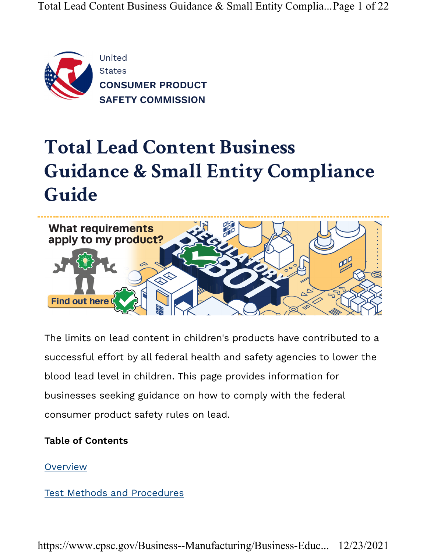

# Total Lead Content Business Guidance & Small Entity Compliance Guide



The limits on lead content in children's products have contributed to a successful effort by all federal health and safety agencies to lower the blood lead level in children. This page provides information for businesses seeking guidance on how to comply with the federal consumer product safety rules on lead.

#### Table of Contents

**Overview** 

Test Methods and Procedures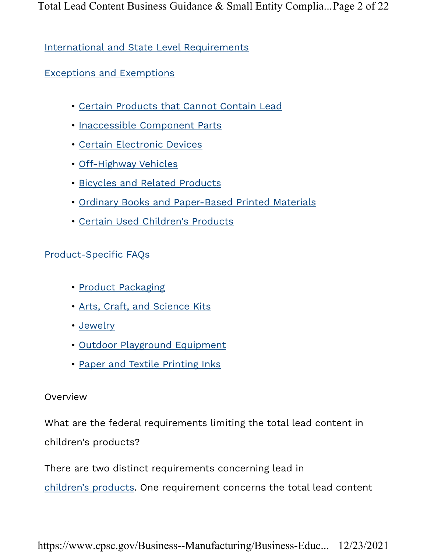International and State Level Requirements

Exceptions and Exemptions

- Certain Products that Cannot Contain Lead
- Inaccessible Component Parts
- Certain Electronic Devices
- Off-Highway Vehicles
- Bicycles and Related Products
- Ordinary Books and Paper-Based Printed Materials
- Certain Used Children's Products

#### Product-Specific FAQs

- Product Packaging
- Arts, Craft, and Science Kits
- Jewelry
- Outdoor Playground Equipment
- Paper and Textile Printing Inks

#### Overview

What are the federal requirements limiting the total lead content in children's products?

There are two distinct requirements concerning lead in

children's products. One requirement concerns the total lead content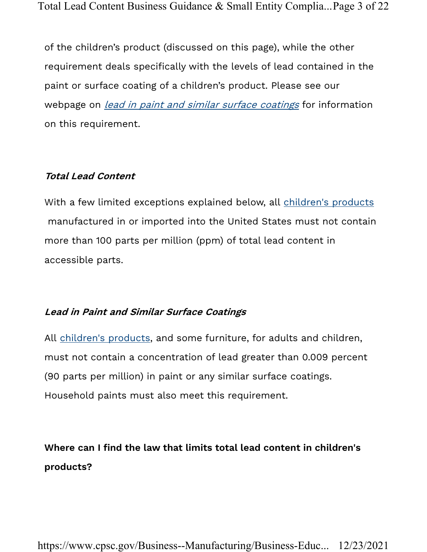of the children's product (discussed on this page), while the other requirement deals specifically with the levels of lead contained in the paint or surface coating of a children's product. Please see our webpage on *lead in paint and similar surface coatings* for information on this requirement.

#### Total Lead Content

With a few limited exceptions explained below, all children's products manufactured in or imported into the United States must not contain more than 100 parts per million (ppm) of total lead content in accessible parts.

#### Lead in Paint and Similar Surface Coatings

All children's products, and some furniture, for adults and children, must not contain a concentration of lead greater than 0.009 percent (90 parts per million) in paint or any similar surface coatings. Household paints must also meet this requirement.

# Where can I find the law that limits total lead content in children's products?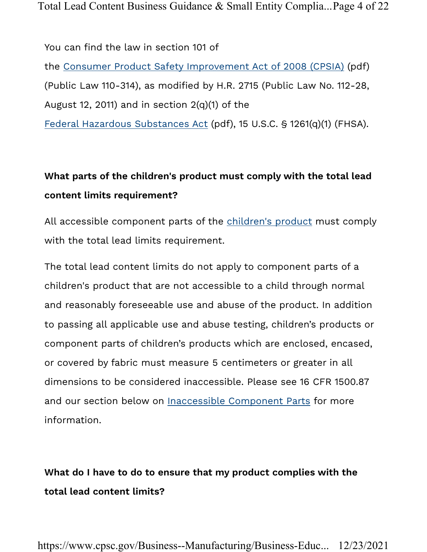You can find the law in section 101 of the Consumer Product Safety Improvement Act of 2008 (CPSIA) (pdf) (Public Law 110-314), as modified by H.R. 2715 (Public Law No. 112-28, August 12, 2011) and in section 2(q)(1) of the Federal Hazardous Substances Act (pdf), 15 U.S.C. § 1261(q)(1) (FHSA).

# What parts of the children's product must comply with the total lead content limits requirement?

All accessible component parts of the children's product must comply with the total lead limits requirement.

The total lead content limits do not apply to component parts of a children's product that are not accessible to a child through normal and reasonably foreseeable use and abuse of the product. In addition to passing all applicable use and abuse testing, children's products or component parts of children's products which are enclosed, encased, or covered by fabric must measure 5 centimeters or greater in all dimensions to be considered inaccessible. Please see 16 CFR 1500.87 and our section below on **Inaccessible Component Parts** for more information.

# What do I have to do to ensure that my product complies with the total lead content limits?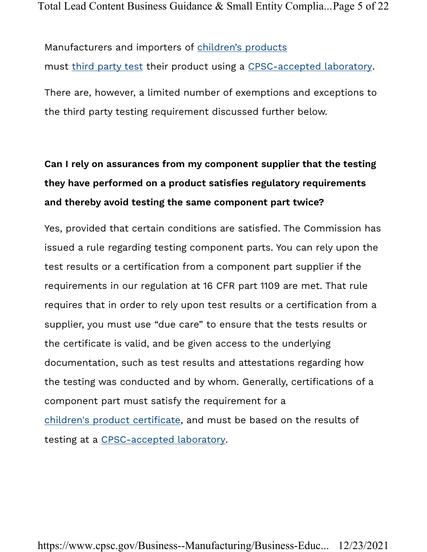Manufacturers and importers of children's products must third party test their product using a CPSC-accepted laboratory. There are, however, a limited number of exemptions and exceptions to the third party testing requirement discussed further below.

# Can I rely on assurances from my component supplier that the testing they have performed on a product satisfies regulatory requirements and thereby avoid testing the same component part twice?

Yes, provided that certain conditions are satisfied. The Commission has issued a rule regarding testing component parts. You can rely upon the test results or a certification from a component part supplier if the requirements in our regulation at 16 CFR part 1109 are met. That rule requires that in order to rely upon test results or a certification from a supplier, you must use "due care" to ensure that the tests results or the certificate is valid, and be given access to the underlying documentation, such as test results and attestations regarding how the testing was conducted and by whom. Generally, certifications of a component part must satisfy the requirement for a children's product certificate, and must be based on the results of testing at a CPSC-accepted laboratory.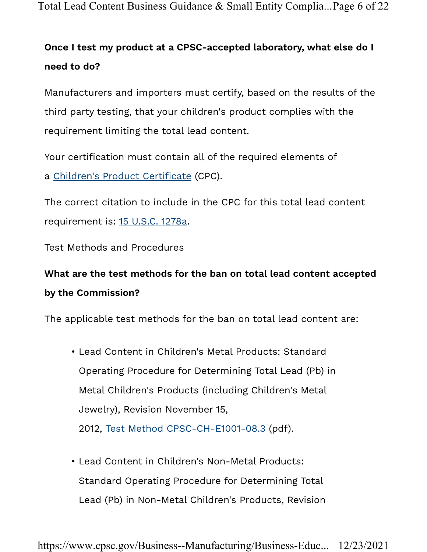Total Lead Content Business Guidance & Small Entity Complia...Page 6 of 22

# Once I test my product at a CPSC-accepted laboratory, what else do I need to do?

Manufacturers and importers must certify, based on the results of the third party testing, that your children's product complies with the requirement limiting the total lead content.

Your certification must contain all of the required elements of a Children's Product Certificate (CPC).

The correct citation to include in the CPC for this total lead content requirement is: 15 U.S.C. 1278a.

Test Methods and Procedures

# What are the test methods for the ban on total lead content accepted by the Commission?

The applicable test methods for the ban on total lead content are:

- Lead Content in Children's Metal Products: Standard Operating Procedure for Determining Total Lead (Pb) in Metal Children's Products (including Children's Metal Jewelry), Revision November 15, 2012, Test Method CPSC-CH-E1001-08.3 (pdf).
- Lead Content in Children's Non-Metal Products: Standard Operating Procedure for Determining Total Lead (Pb) in Non-Metal Children's Products, Revision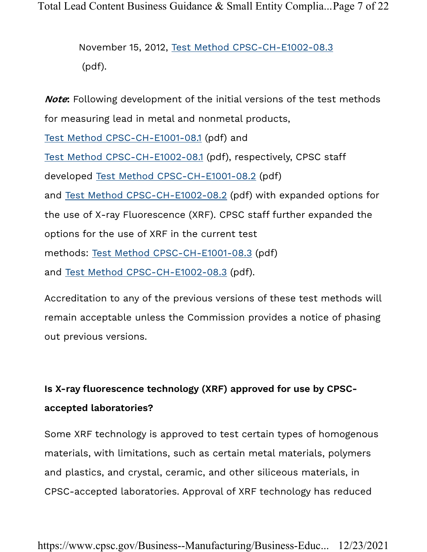Total Lead Content Business Guidance & Small Entity Complia...Page 7 of 22

November 15, 2012, Test Method CPSC-CH-E1002-08.3 (pdf).

Note: Following development of the initial versions of the test methods for measuring lead in metal and nonmetal products, Test Method CPSC-CH-E1001-08.1 (pdf) and Test Method CPSC-CH-E1002-08.1 (pdf), respectively, CPSC staff developed Test Method CPSC-CH-E1001-08.2 (pdf) and Test Method CPSC-CH-E1002-08.2 (pdf) with expanded options for the use of X-ray Fluorescence (XRF). CPSC staff further expanded the options for the use of XRF in the current test methods: Test Method CPSC-CH-E1001-08.3 (pdf) and Test Method CPSC-CH-E1002-08.3 (pdf).

Accreditation to any of the previous versions of these test methods will remain acceptable unless the Commission provides a notice of phasing out previous versions.

# Is X-ray fluorescence technology (XRF) approved for use by CPSCaccepted laboratories?

Some XRF technology is approved to test certain types of homogenous materials, with limitations, such as certain metal materials, polymers and plastics, and crystal, ceramic, and other siliceous materials, in CPSC-accepted laboratories. Approval of XRF technology has reduced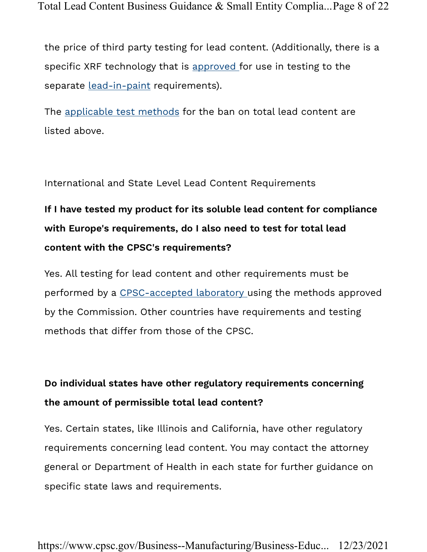Total Lead Content Business Guidance & Small Entity Complia...Page 8 of 22

the price of third party testing for lead content. (Additionally, there is a specific XRF technology that is approved for use in testing to the separate lead-in-paint requirements).

The applicable test methods for the ban on total lead content are listed above.

International and State Level Lead Content Requirements

# If I have tested my product for its soluble lead content for compliance with Europe's requirements, do I also need to test for total lead content with the CPSC's requirements?

Yes. All testing for lead content and other requirements must be performed by a CPSC-accepted laboratory using the methods approved by the Commission. Other countries have requirements and testing methods that differ from those of the CPSC.

### Do individual states have other regulatory requirements concerning the amount of permissible total lead content?

Yes. Certain states, like Illinois and California, have other regulatory requirements concerning lead content. You may contact the attorney general or Department of Health in each state for further guidance on specific state laws and requirements.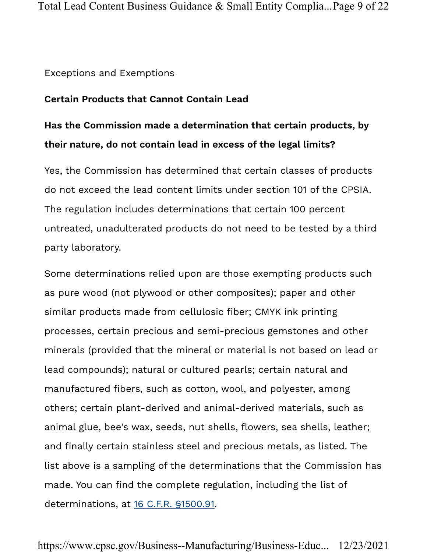#### Exceptions and Exemptions

#### Certain Products that Cannot Contain Lead

### Has the Commission made a determination that certain products, by their nature, do not contain lead in excess of the legal limits?

Yes, the Commission has determined that certain classes of products do not exceed the lead content limits under section 101 of the CPSIA. The regulation includes determinations that certain 100 percent untreated, unadulterated products do not need to be tested by a third party laboratory.

Some determinations relied upon are those exempting products such as pure wood (not plywood or other composites); paper and other similar products made from cellulosic fiber; CMYK ink printing processes, certain precious and semi-precious gemstones and other minerals (provided that the mineral or material is not based on lead or lead compounds); natural or cultured pearls; certain natural and manufactured fibers, such as cotton, wool, and polyester, among others; certain plant-derived and animal-derived materials, such as animal glue, bee's wax, seeds, nut shells, flowers, sea shells, leather; and finally certain stainless steel and precious metals, as listed. The list above is a sampling of the determinations that the Commission has made. You can find the complete regulation, including the list of determinations, at 16 C.F.R. §1500.91.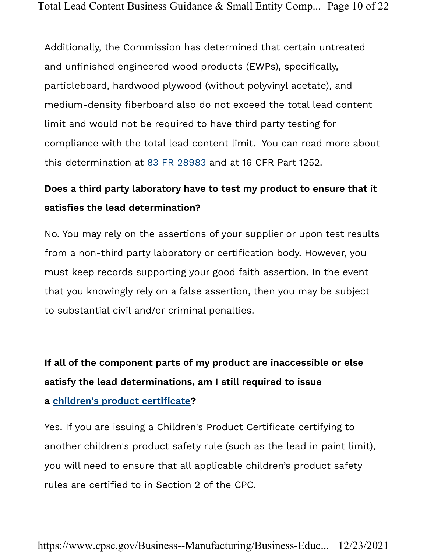Additionally, the Commission has determined that certain untreated and unfinished engineered wood products (EWPs), specifically, particleboard, hardwood plywood (without polyvinyl acetate), and medium-density fiberboard also do not exceed the total lead content limit and would not be required to have third party testing for compliance with the total lead content limit. You can read more about this determination at 83 FR 28983 and at 16 CFR Part 1252.

### Does a third party laboratory have to test my product to ensure that it satisfies the lead determination?

No. You may rely on the assertions of your supplier or upon test results from a non-third party laboratory or certification body. However, you must keep records supporting your good faith assertion. In the event that you knowingly rely on a false assertion, then you may be subject to substantial civil and/or criminal penalties.

If all of the component parts of my product are inaccessible or else satisfy the lead determinations, am I still required to issue a children's product certificate?

Yes. If you are issuing a Children's Product Certificate certifying to another children's product safety rule (such as the lead in paint limit), you will need to ensure that all applicable children's product safety rules are certified to in Section 2 of the CPC.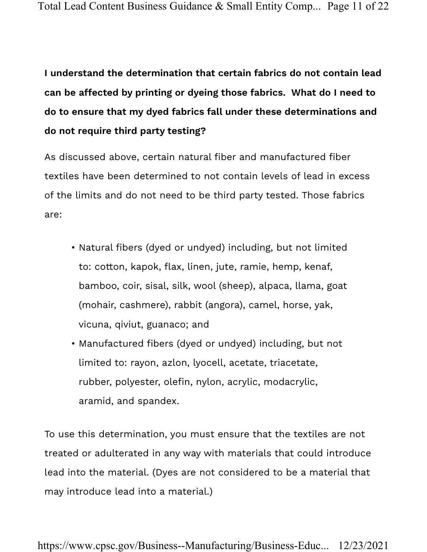I understand the determination that certain fabrics do not contain lead can be affected by printing or dyeing those fabrics. What do I need to do to ensure that my dyed fabrics fall under these determinations and do not require third party testing?

As discussed above, certain natural fiber and manufactured fiber textiles have been determined to not contain levels of lead in excess of the limits and do not need to be third party tested. Those fabrics are:

- Natural fibers (dyed or undyed) including, but not limited to: cotton, kapok, flax, linen, jute, ramie, hemp, kenaf, bamboo, coir, sisal, silk, wool (sheep), alpaca, llama, goat (mohair, cashmere), rabbit (angora), camel, horse, yak, vicuna, qiviut, guanaco; and
- Manufactured fibers (dyed or undyed) including, but not limited to: rayon, azlon, lyocell, acetate, triacetate, rubber, polyester, olefin, nylon, acrylic, modacrylic, aramid, and spandex.

To use this determination, you must ensure that the textiles are not treated or adulterated in any way with materials that could introduce lead into the material. (Dyes are not considered to be a material that may introduce lead into a material.)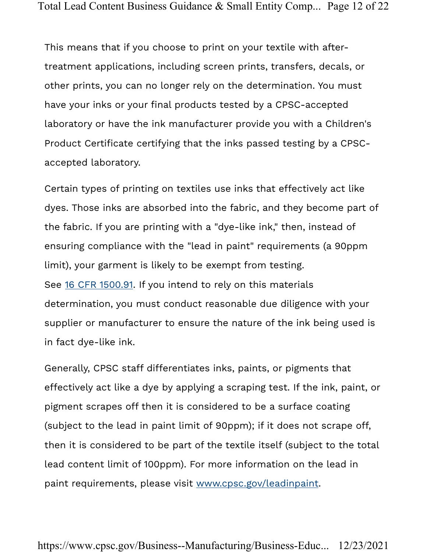This means that if you choose to print on your textile with aftertreatment applications, including screen prints, transfers, decals, or other prints, you can no longer rely on the determination. You must have your inks or your final products tested by a CPSC-accepted laboratory or have the ink manufacturer provide you with a Children's Product Certificate certifying that the inks passed testing by a CPSCaccepted laboratory.

Certain types of printing on textiles use inks that effectively act like dyes. Those inks are absorbed into the fabric, and they become part of the fabric. If you are printing with a "dye-like ink," then, instead of ensuring compliance with the "lead in paint" requirements (a 90ppm limit), your garment is likely to be exempt from testing. See 16 CFR 1500.91. If you intend to rely on this materials determination, you must conduct reasonable due diligence with your supplier or manufacturer to ensure the nature of the ink being used is in fact dye-like ink.

Generally, CPSC staff differentiates inks, paints, or pigments that effectively act like a dye by applying a scraping test. If the ink, paint, or pigment scrapes off then it is considered to be a surface coating (subject to the lead in paint limit of 90ppm); if it does not scrape off, then it is considered to be part of the textile itself (subject to the total lead content limit of 100ppm). For more information on the lead in paint requirements, please visit www.cpsc.gov/leadinpaint.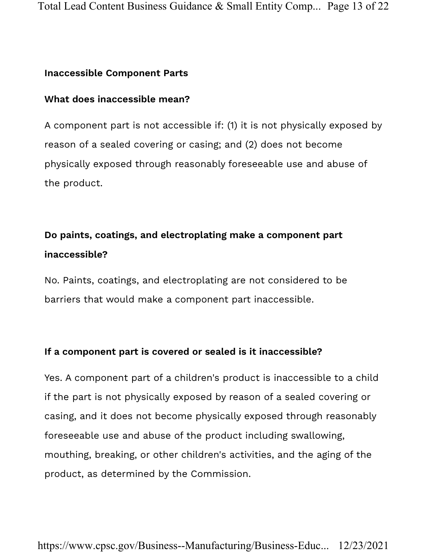#### Inaccessible Component Parts

#### What does inaccessible mean?

A component part is not accessible if: (1) it is not physically exposed by reason of a sealed covering or casing; and (2) does not become physically exposed through reasonably foreseeable use and abuse of the product.

### Do paints, coatings, and electroplating make a component part inaccessible?

No. Paints, coatings, and electroplating are not considered to be barriers that would make a component part inaccessible.

#### If a component part is covered or sealed is it inaccessible?

Yes. A component part of a children's product is inaccessible to a child if the part is not physically exposed by reason of a sealed covering or casing, and it does not become physically exposed through reasonably foreseeable use and abuse of the product including swallowing, mouthing, breaking, or other children's activities, and the aging of the product, as determined by the Commission.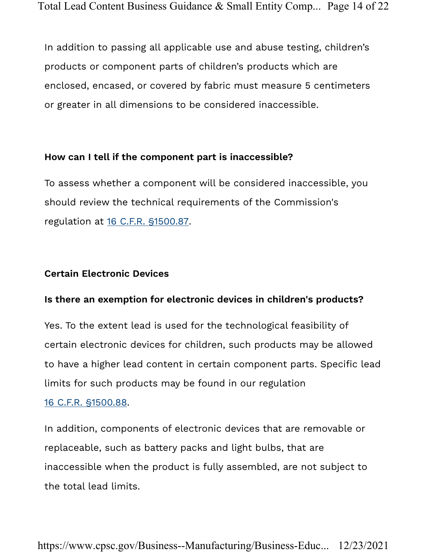In addition to passing all applicable use and abuse testing, children's products or component parts of children's products which are enclosed, encased, or covered by fabric must measure 5 centimeters or greater in all dimensions to be considered inaccessible.

#### How can I tell if the component part is inaccessible?

To assess whether a component will be considered inaccessible, you should review the technical requirements of the Commission's regulation at 16 C.F.R. §1500.87.

#### Certain Electronic Devices

#### Is there an exemption for electronic devices in children's products?

Yes. To the extent lead is used for the technological feasibility of certain electronic devices for children, such products may be allowed to have a higher lead content in certain component parts. Specific lead limits for such products may be found in our regulation

#### 16 C.F.R. §1500.88.

In addition, components of electronic devices that are removable or replaceable, such as battery packs and light bulbs, that are inaccessible when the product is fully assembled, are not subject to the total lead limits.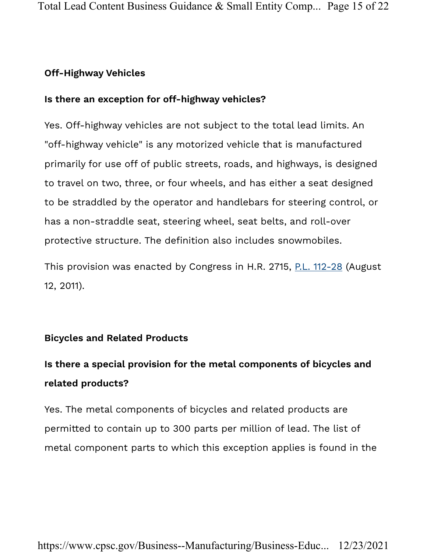#### Off-Highway Vehicles

#### Is there an exception for off-highway vehicles?

Yes. Off-highway vehicles are not subject to the total lead limits. An "off-highway vehicle" is any motorized vehicle that is manufactured primarily for use off of public streets, roads, and highways, is designed to travel on two, three, or four wheels, and has either a seat designed to be straddled by the operator and handlebars for steering control, or has a non-straddle seat, steering wheel, seat belts, and roll-over protective structure. The definition also includes snowmobiles.

This provision was enacted by Congress in H.R. 2715, P.L. 112-28 (August 12, 2011).

#### Bicycles and Related Products

# Is there a special provision for the metal components of bicycles and related products?

Yes. The metal components of bicycles and related products are permitted to contain up to 300 parts per million of lead. The list of metal component parts to which this exception applies is found in the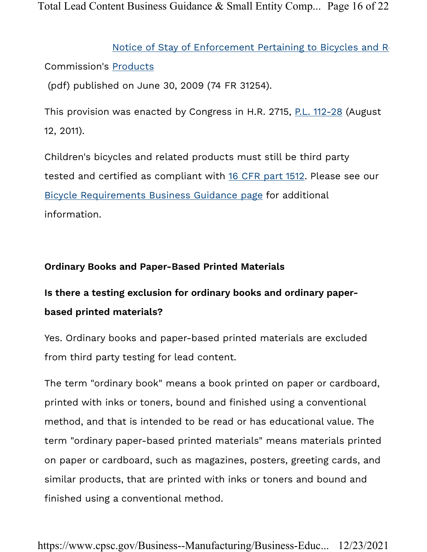Total Lead Content Business Guidance & Small Entity Comp... Page 16 of 22

Commission's Products Notice of Stay of Enforcement Pertaining to Bicycles and Relation (pdf) published on June 30, 2009 (74 FR 31254).

This provision was enacted by Congress in H.R. 2715, P.L. 112-28 (August 12, 2011).

Children's bicycles and related products must still be third party tested and certified as compliant with 16 CFR part 1512. Please see our Bicycle Requirements Business Guidance page for additional information.

#### Ordinary Books and Paper-Based Printed Materials

# Is there a testing exclusion for ordinary books and ordinary paperbased printed materials?

Yes. Ordinary books and paper-based printed materials are excluded from third party testing for lead content.

The term "ordinary book" means a book printed on paper or cardboard, printed with inks or toners, bound and finished using a conventional method, and that is intended to be read or has educational value. The term "ordinary paper-based printed materials" means materials printed on paper or cardboard, such as magazines, posters, greeting cards, and similar products, that are printed with inks or toners and bound and finished using a conventional method.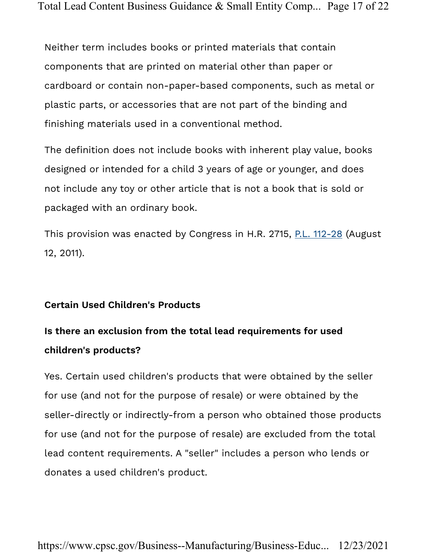Neither term includes books or printed materials that contain components that are printed on material other than paper or cardboard or contain non-paper-based components, such as metal or plastic parts, or accessories that are not part of the binding and finishing materials used in a conventional method.

The definition does not include books with inherent play value, books designed or intended for a child 3 years of age or younger, and does not include any toy or other article that is not a book that is sold or packaged with an ordinary book.

This provision was enacted by Congress in H.R. 2715, P.L. 112-28 (August 12, 2011).

#### Certain Used Children's Products

### Is there an exclusion from the total lead requirements for used children's products?

Yes. Certain used children's products that were obtained by the seller for use (and not for the purpose of resale) or were obtained by the seller-directly or indirectly-from a person who obtained those products for use (and not for the purpose of resale) are excluded from the total lead content requirements. A "seller" includes a person who lends or donates a used children's product.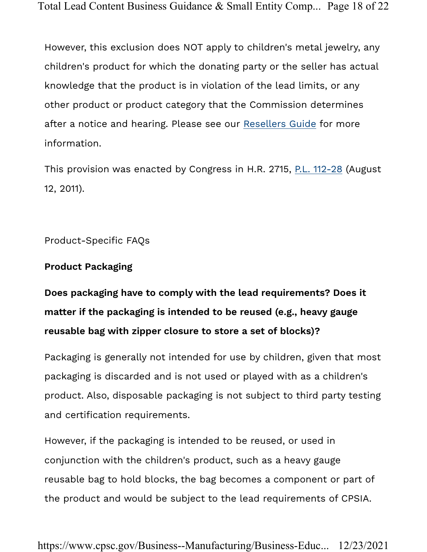However, this exclusion does NOT apply to children's metal jewelry, any children's product for which the donating party or the seller has actual knowledge that the product is in violation of the lead limits, or any other product or product category that the Commission determines after a notice and hearing. Please see our Resellers Guide for more information.

This provision was enacted by Congress in H.R. 2715, P.L. 112-28 (August 12, 2011).

Product-Specific FAQs

#### Product Packaging

Does packaging have to comply with the lead requirements? Does it matter if the packaging is intended to be reused (e.g., heavy gauge reusable bag with zipper closure to store a set of blocks)?

Packaging is generally not intended for use by children, given that most packaging is discarded and is not used or played with as a children's product. Also, disposable packaging is not subject to third party testing and certification requirements.

However, if the packaging is intended to be reused, or used in conjunction with the children's product, such as a heavy gauge reusable bag to hold blocks, the bag becomes a component or part of the product and would be subject to the lead requirements of CPSIA.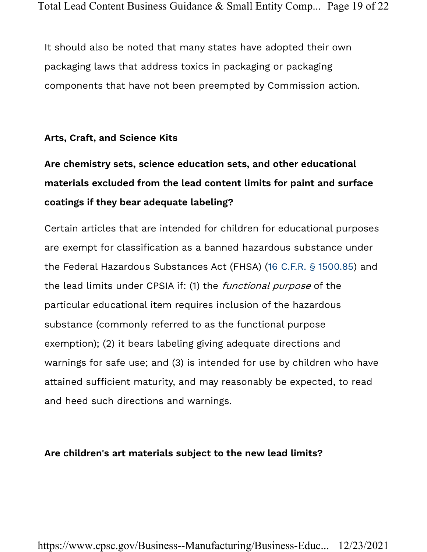It should also be noted that many states have adopted their own packaging laws that address toxics in packaging or packaging components that have not been preempted by Commission action.

#### Arts, Craft, and Science Kits

# Are chemistry sets, science education sets, and other educational materials excluded from the lead content limits for paint and surface coatings if they bear adequate labeling?

Certain articles that are intended for children for educational purposes are exempt for classification as a banned hazardous substance under the Federal Hazardous Substances Act (FHSA) (16 C.F.R. § 1500.85) and the lead limits under CPSIA if: (1) the *functional purpose* of the particular educational item requires inclusion of the hazardous substance (commonly referred to as the functional purpose exemption); (2) it bears labeling giving adequate directions and warnings for safe use; and (3) is intended for use by children who have attained sufficient maturity, and may reasonably be expected, to read and heed such directions and warnings.

#### Are children's art materials subject to the new lead limits?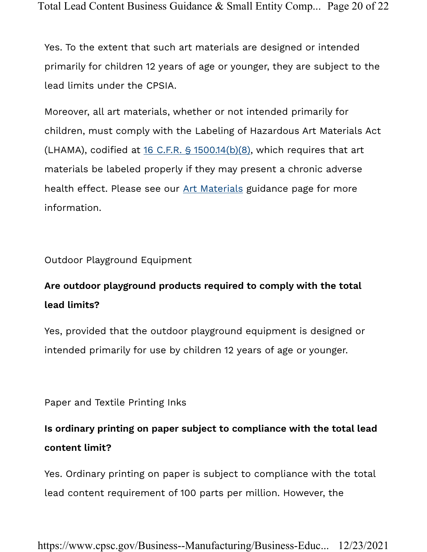Total Lead Content Business Guidance & Small Entity Comp... Page 20 of 22

Yes. To the extent that such art materials are designed or intended primarily for children 12 years of age or younger, they are subject to the lead limits under the CPSIA.

Moreover, all art materials, whether or not intended primarily for children, must comply with the Labeling of Hazardous Art Materials Act (LHAMA), codified at  $16$  C.F.R. §  $1500.14(b)(8)$ , which requires that art materials be labeled properly if they may present a chronic adverse health effect. Please see our Art Materials guidance page for more information.

Outdoor Playground Equipment

### Are outdoor playground products required to comply with the total lead limits?

Yes, provided that the outdoor playground equipment is designed or intended primarily for use by children 12 years of age or younger.

Paper and Textile Printing Inks

### Is ordinary printing on paper subject to compliance with the total lead content limit?

Yes. Ordinary printing on paper is subject to compliance with the total lead content requirement of 100 parts per million. However, the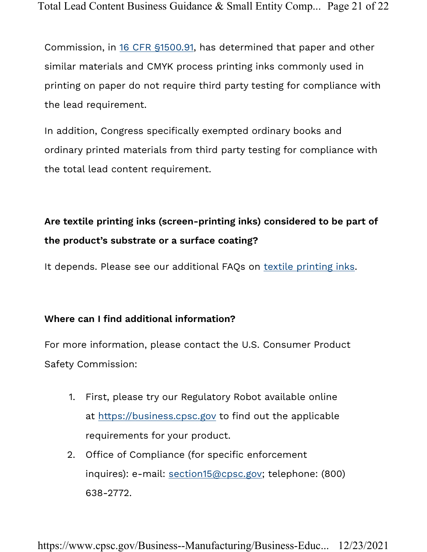Commission, in 16 CFR §1500.91, has determined that paper and other similar materials and CMYK process printing inks commonly used in printing on paper do not require third party testing for compliance with the lead requirement.

In addition, Congress specifically exempted ordinary books and ordinary printed materials from third party testing for compliance with the total lead content requirement.

# Are textile printing inks (screen-printing inks) considered to be part of the product's substrate or a surface coating?

It depends. Please see our additional FAQs on textile printing inks.

#### Where can I find additional information?

For more information, please contact the U.S. Consumer Product Safety Commission:

- 1. First, please try our Regulatory Robot available online at https://business.cpsc.gov to find out the applicable requirements for your product.
- 2. Office of Compliance (for specific enforcement inquires): e-mail: section15@cpsc.gov; telephone: (800) 638-2772.